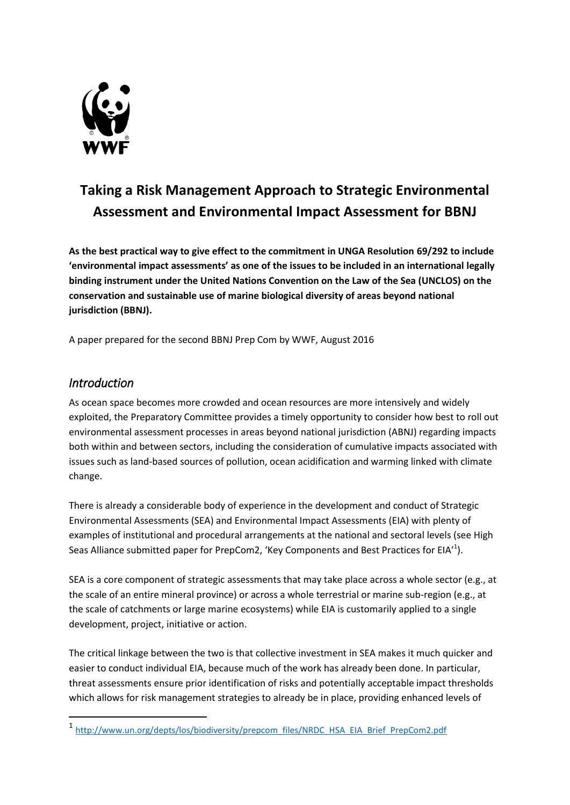

# **Taking a Risk Management Approach to Strategic Environmental Assessment and Environmental Impact Assessment for BBNJ**

**As the best practical way to give effect to the commitment in UNGA Resolution 69/292 to include 'environmental impact assessments' as one of the issues to be included in an international legally binding instrument under the United Nations Convention on the Law of the Sea (UNCLOS) on the conservation and sustainable use of marine biological diversity of areas beyond national jurisdiction (BBNJ).**

A paper prepared for the second BBNJ Prep Com by WWF, August 2016

## *Introduction*

1

As ocean space becomes more crowded and ocean resources are more intensively and widely exploited, the Preparatory Committee provides a timely opportunity to consider how best to roll out environmental assessment processes in areas beyond national jurisdiction (ABNJ) regarding impacts both within and between sectors, including the consideration of cumulative impacts associated with issues such as land-based sources of pollution, ocean acidification and warming linked with climate change.

There is already a considerable body of experience in the development and conduct of Strategic Environmental Assessments (SEA) and Environmental Impact Assessments (EIA) with plenty of examples of institutional and procedural arrangements at the national and sectoral levels (see High Seas Alliance submitted paper for PrepCom2, 'Key Components and Best Practices for EIA'<sup>1</sup>).

SEA is a core component of strategic assessments that may take place across a whole sector (e.g., at the scale of an entire mineral province) or across a whole terrestrial or marine sub-region (e.g., at the scale of catchments or large marine ecosystems) while EIA is customarily applied to a single development, project, initiative or action.

The critical linkage between the two is that collective investment in SEA makes it much quicker and easier to conduct individual EIA, because much of the work has already been done. In particular, threat assessments ensure prior identification of risks and potentially acceptable impact thresholds which allows for risk management strategies to already be in place, providing enhanced levels of

<sup>1</sup> [http://www.un.org/depts/los/biodiversity/prepcom\\_files/NRDC\\_HSA\\_EIA\\_Brief\\_PrepCom2.pdf](http://www.un.org/depts/los/biodiversity/prepcom_files/NRDC_HSA_EIA_Brief_PrepCom2.pdf)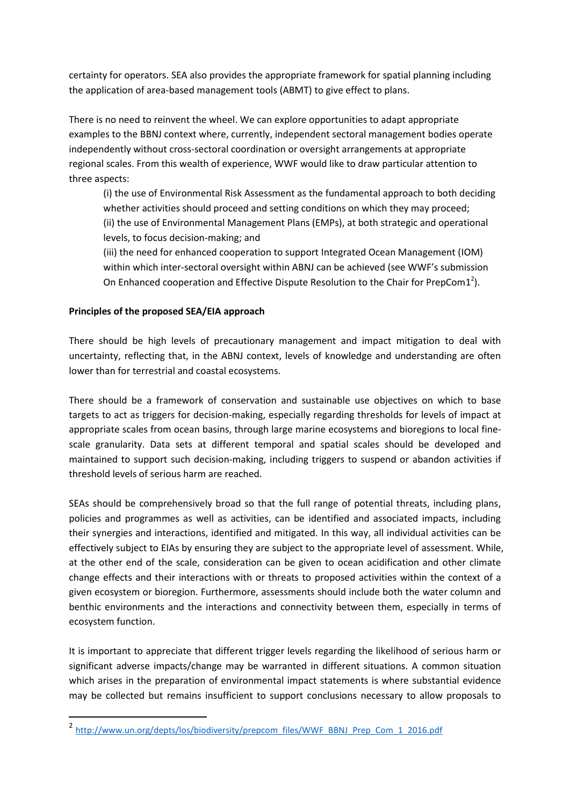certainty for operators. SEA also provides the appropriate framework for spatial planning including the application of area-based management tools (ABMT) to give effect to plans.

There is no need to reinvent the wheel. We can explore opportunities to adapt appropriate examples to the BBNJ context where, currently, independent sectoral management bodies operate independently without cross-sectoral coordination or oversight arrangements at appropriate regional scales. From this wealth of experience, WWF would like to draw particular attention to three aspects:

(i) the use of Environmental Risk Assessment as the fundamental approach to both deciding whether activities should proceed and setting conditions on which they may proceed; (ii) the use of Environmental Management Plans (EMPs), at both strategic and operational levels, to focus decision-making; and

(iii) the need for enhanced cooperation to support Integrated Ocean Management (IOM) within which inter-sectoral oversight within ABNJ can be achieved (see WWF's submission On Enhanced cooperation and Effective Dispute Resolution to the Chair for PrepCom1<sup>2</sup>).

### **Principles of the proposed SEA/EIA approach**

1

There should be high levels of precautionary management and impact mitigation to deal with uncertainty, reflecting that, in the ABNJ context, levels of knowledge and understanding are often lower than for terrestrial and coastal ecosystems.

There should be a framework of conservation and sustainable use objectives on which to base targets to act as triggers for decision-making, especially regarding thresholds for levels of impact at appropriate scales from ocean basins, through large marine ecosystems and bioregions to local finescale granularity. Data sets at different temporal and spatial scales should be developed and maintained to support such decision-making, including triggers to suspend or abandon activities if threshold levels of serious harm are reached.

SEAs should be comprehensively broad so that the full range of potential threats, including plans, policies and programmes as well as activities, can be identified and associated impacts, including their synergies and interactions, identified and mitigated. In this way, all individual activities can be effectively subject to EIAs by ensuring they are subject to the appropriate level of assessment. While, at the other end of the scale, consideration can be given to ocean acidification and other climate change effects and their interactions with or threats to proposed activities within the context of a given ecosystem or bioregion. Furthermore, assessments should include both the water column and benthic environments and the interactions and connectivity between them, especially in terms of ecosystem function.

It is important to appreciate that different trigger levels regarding the likelihood of serious harm or significant adverse impacts/change may be warranted in different situations. A common situation which arises in the preparation of environmental impact statements is where substantial evidence may be collected but remains insufficient to support conclusions necessary to allow proposals to

<sup>2</sup> [http://www.un.org/depts/los/biodiversity/prepcom\\_files/WWF\\_BBNJ\\_Prep\\_Com\\_1\\_2016.pdf](http://www.un.org/depts/los/biodiversity/prepcom_files/WWF_BBNJ_Prep_Com_1_2016.pdf)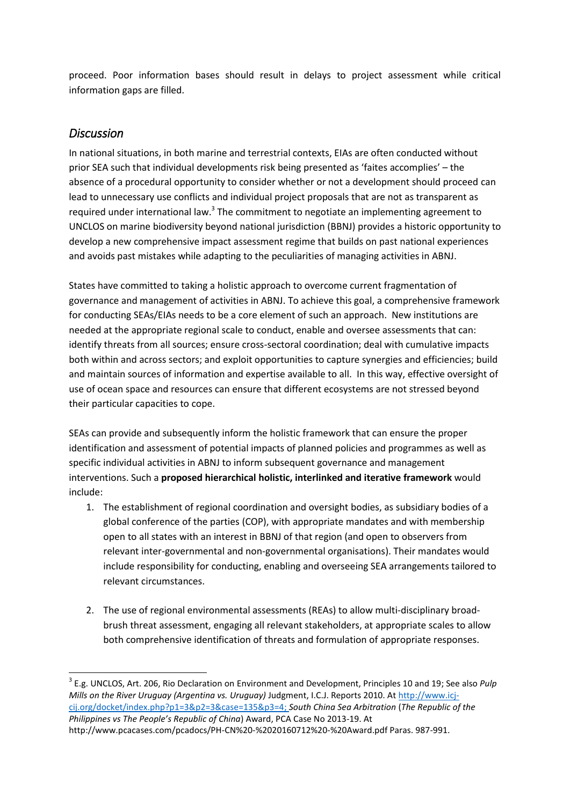proceed. Poor information bases should result in delays to project assessment while critical information gaps are filled.

## *Discussion*

 $\overline{\phantom{a}}$ 

<span id="page-2-0"></span>In national situations, in both marine and terrestrial contexts, EIAs are often conducted without prior SEA such that individual developments risk being presented as 'faites accomplies' – the absence of a procedural opportunity to consider whether or not a development should proceed can lead to unnecessary use conflicts and individual project proposals that are not as transparent as required under international law.<sup>3</sup> The commitment to negotiate an implementing agreement to UNCLOS on marine biodiversity beyond national jurisdiction (BBNJ) provides a historic opportunity to develop a new comprehensive impact assessment regime that builds on past national experiences and avoids past mistakes while adapting to the peculiarities of managing activities in ABNJ.

States have committed to taking a holistic approach to overcome current fragmentation of governance and management of activities in ABNJ. To achieve this goal, a comprehensive framework for conducting SEAs/EIAs needs to be a core element of such an approach. New institutions are needed at the appropriate regional scale to conduct, enable and oversee assessments that can: identify threats from all sources; ensure cross-sectoral coordination; deal with cumulative impacts both within and across sectors; and exploit opportunities to capture synergies and efficiencies; build and maintain sources of information and expertise available to all. In this way, effective oversight of use of ocean space and resources can ensure that different ecosystems are not stressed beyond their particular capacities to cope.

SEAs can provide and subsequently inform the holistic framework that can ensure the proper identification and assessment of potential impacts of planned policies and programmes as well as specific individual activities in ABNJ to inform subsequent governance and management interventions. Such a **proposed hierarchical holistic, interlinked and iterative framework** would include:

- 1. The establishment of regional coordination and oversight bodies, as subsidiary bodies of a global conference of the parties (COP), with appropriate mandates and with membership open to all states with an interest in BBNJ of that region (and open to observers from relevant inter-governmental and non-governmental organisations). Their mandates would include responsibility for conducting, enabling and overseeing SEA arrangements tailored to relevant circumstances.
- 2. The use of regional environmental assessments (REAs) to allow multi-disciplinary broadbrush threat assessment, engaging all relevant stakeholders, at appropriate scales to allow both comprehensive identification of threats and formulation of appropriate responses.

<sup>3</sup> E.g. UNCLOS, Art. 206, Rio Declaration on Environment and Development, Principles 10 and 19; See also *Pulp Mills on the River Uruguay (Argentina vs. Uruguay)* Judgment, I.C.J. Reports 2010. At [http://www.icj](http://www.icj-cij.org/docket/index.php?p1=3&p2=3&case=135&p3=4)[cij.org/docket/index.php?p1=3&p2=3&case=135&p3=4;](http://www.icj-cij.org/docket/index.php?p1=3&p2=3&case=135&p3=4) *South China Sea Arbitration* (*The Republic of the Philippines vs The People's Republic of China*) Award, PCA Case No 2013-19. At http://www.pcacases.com/pcadocs/PH-CN%20-%2020160712%20-%20Award.pdf Paras. 987-991.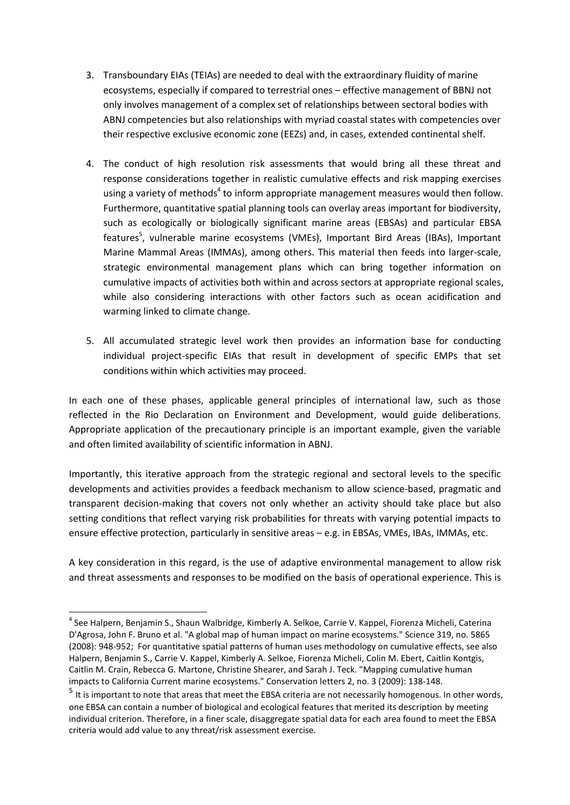- 3. Transboundary EIAs (TEIAs) are needed to deal with the extraordinary fluidity of marine ecosystems, especially if compared to terrestrial ones – effective management of BBNJ not only involves management of a complex set of relationships between sectoral bodies with ABNJ competencies but also relationships with myriad coastal states with competencies over their respective exclusive economic zone (EEZs) and, in cases, extended continental shelf.
- 4. The conduct of high resolution risk assessments that would bring all these threat and response considerations together in realistic cumulative effects and risk mapping exercises using a variety of methods<sup>4</sup> to inform appropriate management measures would then follow. Furthermore, quantitative spatial planning tools can overlay areas important for biodiversity, such as ecologically or biologically significant marine areas (EBSAs) and particular EBSA features<sup>5</sup>, vulnerable marine ecosystems (VMEs), Important Bird Areas (IBAs), Important Marine Mammal Areas (IMMAs), among others. This material then feeds into larger-scale, strategic environmental management plans which can bring together information on cumulative impacts of activities both within and across sectors at appropriate regional scales, while also considering interactions with other factors such as ocean acidification and warming linked to climate change.
- 5. All accumulated strategic level work then provides an information base for conducting individual project-specific EIAs that result in development of specific EMPs that set conditions within which activities may proceed.

In each one of these phases, applicable general principles of international law, such as those reflected in the Rio Declaration on Environment and Development, would guide deliberations. Appropriate application of the precautionary principle is an important example, given the variable and often limited availability of scientific information in ABNJ.

Importantly, this iterative approach from the strategic regional and sectoral levels to the specific developments and activities provides a feedback mechanism to allow science-based, pragmatic and transparent decision-making that covers not only whether an activity should take place but also setting conditions that reflect varying risk probabilities for threats with varying potential impacts to ensure effective protection, particularly in sensitive areas – e.g. in EBSAs, VMEs, IBAs, IMMAs, etc.

A key consideration in this regard, is the use of adaptive environmental management to allow risk and threat assessments and responses to be modified on the basis of operational experience. This is

**.** 

<sup>4</sup> See Halpern, Benjamin S., Shaun Walbridge, Kimberly A. Selkoe, Carrie V. Kappel, Fiorenza Micheli, Caterina D'Agrosa, John F. Bruno et al. "A global map of human impact on marine ecosystems." Science 319, no. 5865 (2008): 948-952; For quantitative spatial patterns of human uses methodology on cumulative effects, see also Halpern, Benjamin S., Carrie V. Kappel, Kimberly A. Selkoe, Fiorenza Micheli, Colin M. Ebert, Caitlin Kontgis, Caitlin M. Crain, Rebecca G. Martone, Christine Shearer, and Sarah J. Teck. "Mapping cumulative human impacts to California Current marine ecosystems." Conservation letters 2, no. 3 (2009): 138-148.

<sup>&</sup>lt;sup>5</sup> It is important to note that areas that meet the EBSA criteria are not necessarily homogenous. In other words, one EBSA can contain a number of biological and ecological features that merited its description by meeting individual criterion. Therefore, in a finer scale, disaggregate spatial data for each area found to meet the EBSA criteria would add value to any threat/risk assessment exercise.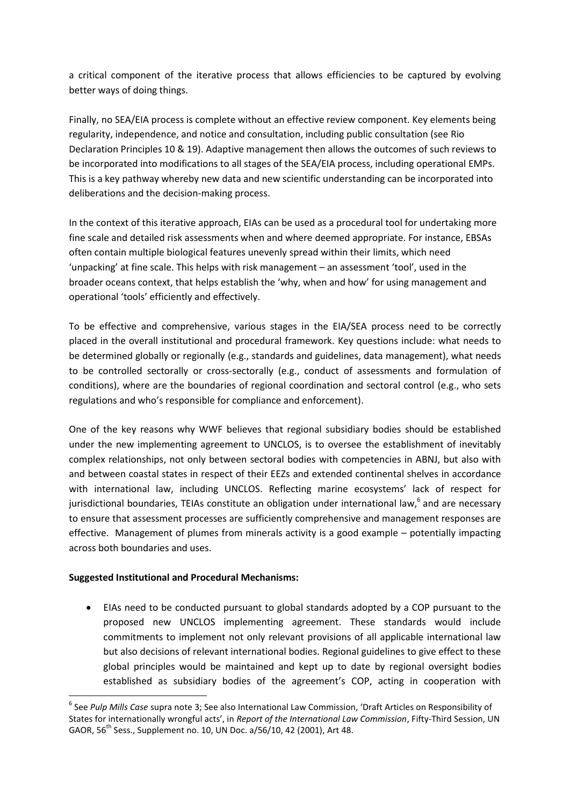a critical component of the iterative process that allows efficiencies to be captured by evolving better ways of doing things.

Finally, no SEA/EIA process is complete without an effective review component. Key elements being regularity, independence, and notice and consultation, including public consultation (see Rio Declaration Principles 10 & 19). Adaptive management then allows the outcomes of such reviews to be incorporated into modifications to all stages of the SEA/EIA process, including operational EMPs. This is a key pathway whereby new data and new scientific understanding can be incorporated into deliberations and the decision-making process.

In the context of this iterative approach, EIAs can be used as a procedural tool for undertaking more fine scale and detailed risk assessments when and where deemed appropriate. For instance, EBSAs often contain multiple biological features unevenly spread within their limits, which need 'unpacking' at fine scale. This helps with risk management – an assessment 'tool', used in the broader oceans context, that helps establish the 'why, when and how' for using management and operational 'tools' efficiently and effectively.

To be effective and comprehensive, various stages in the EIA/SEA process need to be correctly placed in the overall institutional and procedural framework. Key questions include: what needs to be determined globally or regionally (e.g., standards and guidelines, data management), what needs to be controlled sectorally or cross-sectorally (e.g., conduct of assessments and formulation of conditions), where are the boundaries of regional coordination and sectoral control (e.g., who sets regulations and who's responsible for compliance and enforcement).

One of the key reasons why WWF believes that regional subsidiary bodies should be established under the new implementing agreement to UNCLOS, is to oversee the establishment of inevitably complex relationships, not only between sectoral bodies with competencies in ABNJ, but also with and between coastal states in respect of their EEZs and extended continental shelves in accordance with international law, including UNCLOS. Reflecting marine ecosystems' lack of respect for jurisdictional boundaries, TEIAs constitute an obligation under international law,<sup>6</sup> and are necessary to ensure that assessment processes are sufficiently comprehensive and management responses are effective. Management of plumes from minerals activity is a good example – potentially impacting across both boundaries and uses.

### **Suggested Institutional and Procedural Mechanisms:**

**.** 

 EIAs need to be conducted pursuant to global standards adopted by a COP pursuant to the proposed new UNCLOS implementing agreement. These standards would include commitments to implement not only relevant provisions of all applicable international law but also decisions of relevant international bodies. Regional guidelines to give effect to these global principles would be maintained and kept up to date by regional oversight bodies established as subsidiary bodies of the agreement's COP, acting in cooperation with

<sup>6</sup> See *Pulp Mills Case* supra note [3;](#page-2-0) See also International Law Commission, 'Draft Articles on Responsibility of States for internationally wrongful acts', in *Report of the International Law Commission*, Fifty-Third Session, UN GAOR, 56<sup>th</sup> Sess., Supplement no. 10, UN Doc. a/56/10, 42 (2001), Art 48.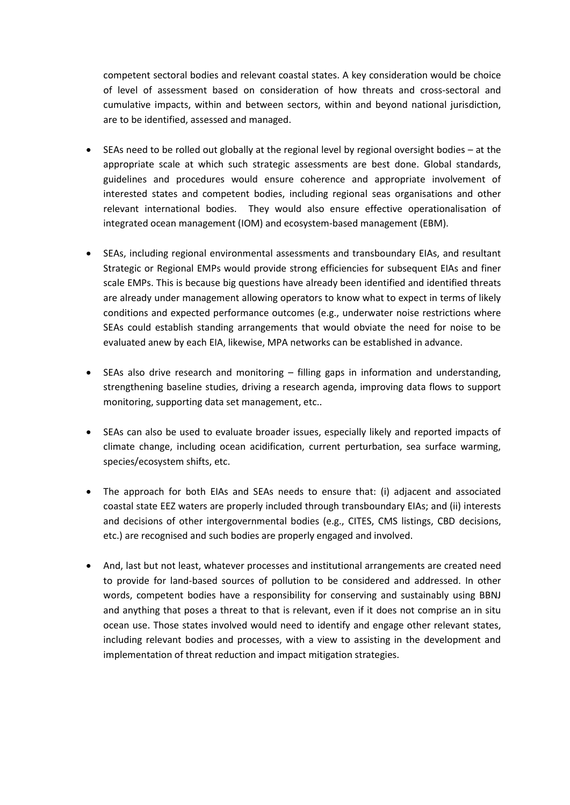competent sectoral bodies and relevant coastal states. A key consideration would be choice of level of assessment based on consideration of how threats and cross-sectoral and cumulative impacts, within and between sectors, within and beyond national jurisdiction, are to be identified, assessed and managed.

- SEAs need to be rolled out globally at the regional level by regional oversight bodies at the appropriate scale at which such strategic assessments are best done. Global standards, guidelines and procedures would ensure coherence and appropriate involvement of interested states and competent bodies, including regional seas organisations and other relevant international bodies. They would also ensure effective operationalisation of integrated ocean management (IOM) and ecosystem-based management (EBM).
- SEAs, including regional environmental assessments and transboundary EIAs, and resultant Strategic or Regional EMPs would provide strong efficiencies for subsequent EIAs and finer scale EMPs. This is because big questions have already been identified and identified threats are already under management allowing operators to know what to expect in terms of likely conditions and expected performance outcomes (e.g., underwater noise restrictions where SEAs could establish standing arrangements that would obviate the need for noise to be evaluated anew by each EIA, likewise, MPA networks can be established in advance.
- SEAs also drive research and monitoring filling gaps in information and understanding, strengthening baseline studies, driving a research agenda, improving data flows to support monitoring, supporting data set management, etc..
- SEAs can also be used to evaluate broader issues, especially likely and reported impacts of climate change, including ocean acidification, current perturbation, sea surface warming, species/ecosystem shifts, etc.
- The approach for both EIAs and SEAs needs to ensure that: (i) adjacent and associated coastal state EEZ waters are properly included through transboundary EIAs; and (ii) interests and decisions of other intergovernmental bodies (e.g., CITES, CMS listings, CBD decisions, etc.) are recognised and such bodies are properly engaged and involved.
- And, last but not least, whatever processes and institutional arrangements are created need to provide for land-based sources of pollution to be considered and addressed. In other words, competent bodies have a responsibility for conserving and sustainably using BBNJ and anything that poses a threat to that is relevant, even if it does not comprise an in situ ocean use. Those states involved would need to identify and engage other relevant states, including relevant bodies and processes, with a view to assisting in the development and implementation of threat reduction and impact mitigation strategies.